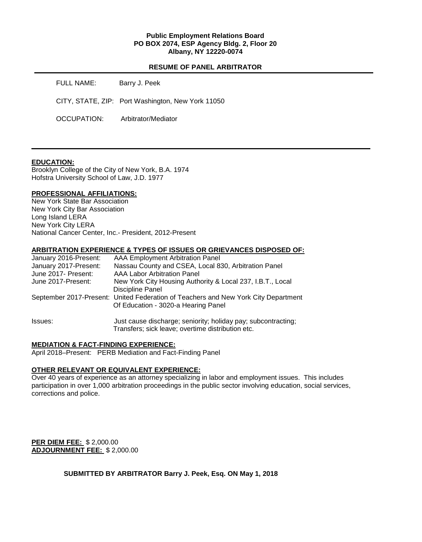## **Public Employment Relations Board PO BOX 2074, ESP Agency Bldg. 2, Floor 20 Albany, NY 12220-0074**

## **RESUME OF PANEL ARBITRATOR**

| FULL NAME:  | Barry J. Peek                                     |
|-------------|---------------------------------------------------|
|             | CITY, STATE, ZIP: Port Washington, New York 11050 |
| OCCUPATION: | Arbitrator/Mediator                               |

#### **EDUCATION:**

Brooklyn College of the City of New York, B.A. 1974 Hofstra University School of Law, J.D. 1977

#### **PROFESSIONAL AFFILIATIONS:**

New York State Bar Association New York City Bar Association Long Island LERA New York City LERA National Cancer Center, Inc.- President, 2012-Present

#### **ARBITRATION EXPERIENCE & TYPES OF ISSUES OR GRIEVANCES DISPOSED OF:**

| January 2016-Present: | AAA Employment Arbitration Panel                                                   |
|-----------------------|------------------------------------------------------------------------------------|
| January 2017-Present: | Nassau County and CSEA, Local 830, Arbitration Panel                               |
| June 2017- Present:   | AAA Labor Arbitration Panel                                                        |
| June 2017-Present:    | New York City Housing Authority & Local 237, I.B.T., Local                         |
|                       | Discipline Panel                                                                   |
|                       | September 2017-Present: United Federation of Teachers and New York City Department |
|                       | Of Education - 3020-a Hearing Panel                                                |
|                       |                                                                                    |
|                       |                                                                                    |

Issues: Just cause discharge; seniority; holiday pay; subcontracting; Transfers; sick leave; overtime distribution etc.

#### **MEDIATION & FACT-FINDING EXPERIENCE:**

April 2018–Present: PERB Mediation and Fact-Finding Panel

## **OTHER RELEVANT OR EQUIVALENT EXPERIENCE:**

Over 40 years of experience as an attorney specializing in labor and employment issues. This includes participation in over 1,000 arbitration proceedings in the public sector involving education, social services, corrections and police.

**PER DIEM FEE:** \$ 2,000.00 **ADJOURNMENT FEE:** \$ 2,000.00

**SUBMITTED BY ARBITRATOR Barry J. Peek, Esq. ON May 1, 2018**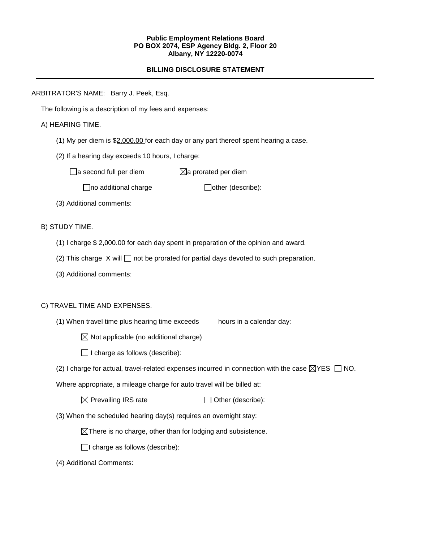#### **Public Employment Relations Board PO BOX 2074, ESP Agency Bldg. 2, Floor 20 Albany, NY 12220-0074**

# **BILLING DISCLOSURE STATEMENT**

ARBITRATOR'S NAME: Barry J. Peek, Esq.

The following is a description of my fees and expenses:

## A) HEARING TIME.

- (1) My per diem is \$2,000.00 for each day or any part thereof spent hearing a case.
- (2) If a hearing day exceeds 10 hours, I charge:

 $\Box$ a second full per diem  $\boxtimes$ a prorated per diem

 $\Box$ no additional charge  $\Box$ other (describe):

(3) Additional comments:

B) STUDY TIME.

- (1) I charge \$ 2,000.00 for each day spent in preparation of the opinion and award.
- (2) This charge  $X$  will  $\Box$  not be prorated for partial days devoted to such preparation.
- (3) Additional comments:

## C) TRAVEL TIME AND EXPENSES.

(1) When travel time plus hearing time exceeds hours in a calendar day:

 $\boxtimes$  Not applicable (no additional charge)

 $\Box$  I charge as follows (describe):

(2) I charge for actual, travel-related expenses incurred in connection with the case  $\boxtimes$ YES  $\Box$  NO.

Where appropriate, a mileage charge for auto travel will be billed at:

 $\boxtimes$  Prevailing IRS rate  $\Box$  Other (describe):

(3) When the scheduled hearing day(s) requires an overnight stay:

 $\boxtimes$ There is no charge, other than for lodging and subsistence.

 $\Box$ I charge as follows (describe):

(4) Additional Comments: